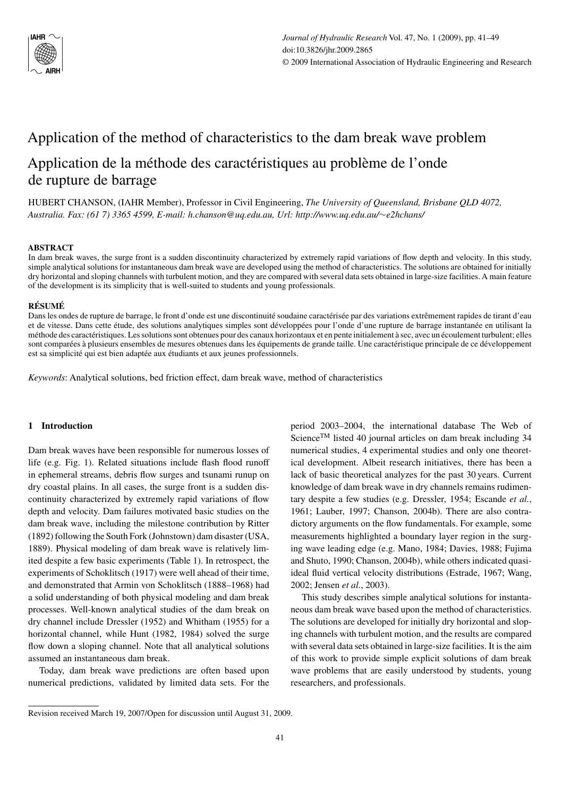

# Application of the method of characteristics to the dam break wave problem

## Application de la méthode des caractéristiques au problème de l'onde de rupture de barrage

HUBERT CHANSON, (IAHR Member), Professor in Civil Engineering, *The University of Queensland, Brisbane QLD 4072, Australia. Fax: (61 7) 3365 4599, E-mail: h.chanson@uq.edu.au, Url: http://www.uq.edu.au/*∼*e2hchans/*

## **ABSTRACT**

In dam break waves, the surge front is a sudden discontinuity characterized by extremely rapid variations of flow depth and velocity. In this study, simple analytical solutions for instantaneous dam break wave are developed using the method of characteristics. The solutions are obtained for initially dry horizontal and sloping channels with turbulent motion, and they are compared with several data sets obtained in large-size facilities. A main feature of the development is its simplicity that is well-suited to students and young professionals.

#### **RÉSUMÉ**

Dans les ondes de rupture de barrage, le front d'onde est une discontinuité soudaine caractérisée par des variations extrêmement rapides de tirant d'eau et de vitesse. Dans cette étude, des solutions analytiques simples sont développées pour l'onde d'une rupture de barrage instantanée en utilisant la méthode des caractéristiques. Les solutions sont obtenues pour des canaux horizontaux et en pente initialement à sec, avec un écoulement turbulent; elles sont comparées à plusieurs ensembles de mesures obtenues dans les équipements de grande taille. Une caractéristique principale de ce développement est sa simplicité qui est bien adaptée aux étudiants et aux jeunes professionnels.

*Keywords*: Analytical solutions, bed friction effect, dam break wave, method of characteristics

## **1 Introduction**

Dam break waves have been responsible for numerous losses of life (e.g. Fig. 1). Related situations include flash flood runoff in ephemeral streams, debris flow surges and tsunami runup on dry coastal plains. In all cases, the surge front is a sudden discontinuity characterized by extremely rapid variations of flow depth and velocity. Dam failures motivated basic studies on the dam break wave, including the milestone contribution by Ritter (1892) following the South Fork (Johnstown) dam disaster (USA, 1889). Physical modeling of dam break wave is relatively limited despite a few basic experiments (Table 1). In retrospect, the experiments of Schoklitsch (1917) were well ahead of their time, and demonstrated that Armin von Schoklitsch (1888–1968) had a solid understanding of both physical modeling and dam break processes. Well-known analytical studies of the dam break on dry channel include Dressler (1952) and Whitham (1955) for a horizontal channel, while Hunt (1982, 1984) solved the surge flow down a sloping channel. Note that all analytical solutions assumed an instantaneous dam break.

Today, dam break wave predictions are often based upon numerical predictions, validated by limited data sets. For the period 2003–2004, the international database The Web of Science<sup>TM</sup> listed 40 journal articles on dam break including  $34$ numerical studies, 4 experimental studies and only one theoretical development. Albeit research initiatives, there has been a lack of basic theoretical analyzes for the past 30 years. Current knowledge of dam break wave in dry channels remains rudimentary despite a few studies (e.g. Dressler, 1954; Escande *et al.*, 1961; Lauber, 1997; Chanson, 2004b). There are also contradictory arguments on the flow fundamentals. For example, some measurements highlighted a boundary layer region in the surging wave leading edge (e.g. Mano, 1984; Davies, 1988; Fujima and Shuto, 1990; Chanson, 2004b), while others indicated quasiideal fluid vertical velocity distributions (Estrade, 1967; Wang, 2002; Jensen *et al.*, 2003).

This study describes simple analytical solutions for instantaneous dam break wave based upon the method of characteristics. The solutions are developed for initially dry horizontal and sloping channels with turbulent motion, and the results are compared with several data sets obtained in large-size facilities. It is the aim of this work to provide simple explicit solutions of dam break wave problems that are easily understood by students, young researchers, and professionals.

Revision received March 19, 2007/Open for discussion until August 31, 2009.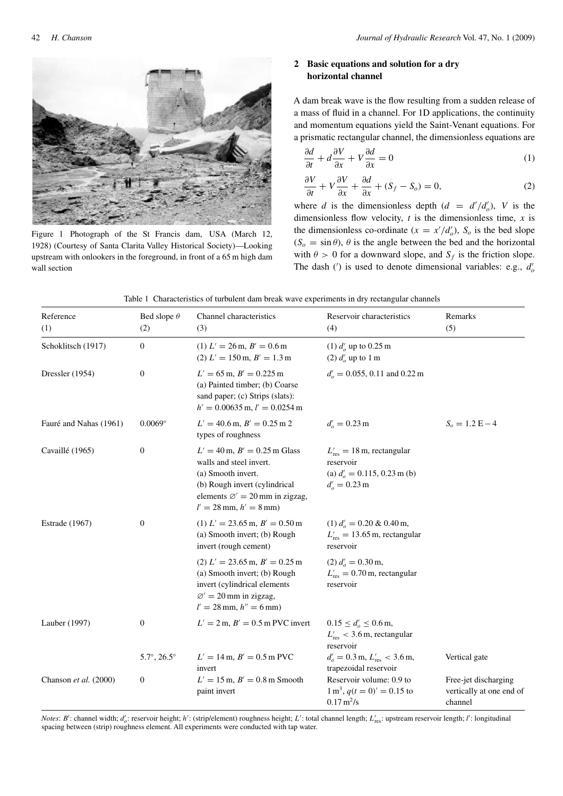

Figure 1 Photograph of the St Francis dam, USA (March 12, 1928) (Courtesy of Santa Clarita Valley Historical Society)—Looking upstream with onlookers in the foreground, in front of a 65 m high dam wall section

## **2 Basic equations and solution for a dry horizontal channel**

A dam break wave is the flow resulting from a sudden release of a mass of fluid in a channel. For 1D applications, the continuity and momentum equations yield the Saint-Venant equations. For a prismatic rectangular channel, the dimensionless equations are

$$
\frac{\partial d}{\partial t} + d \frac{\partial V}{\partial x} + V \frac{\partial d}{\partial x} = 0 \tag{1}
$$

$$
\frac{\partial V}{\partial t} + V \frac{\partial V}{\partial x} + \frac{\partial d}{\partial x} + (S_f - S_o) = 0,\tag{2}
$$

where *d* is the dimensionless depth  $(d = d'/d'_o)$ , *V* is the dimensionless flow velocity, *t* is the dimensionless time, *x* is the dimensionless co-ordinate  $(x = x'/d_o)$ ,  $S_o$  is the bed slope  $(S<sub>o</sub> = \sin \theta)$ ,  $\theta$  is the angle between the bed and the horizontal with  $\theta > 0$  for a downward slope, and  $S_f$  is the friction slope. The dash ( $\prime$ ) is used to denote dimensional variables: e.g.,  $d'_{o}$ 

|  |  |  | Table 1 Characteristics of turbulent dam break wave experiments in dry rectangular channels |
|--|--|--|---------------------------------------------------------------------------------------------|
|  |  |  |                                                                                             |

| Reference<br>(1)       | Bed slope $\theta$<br>(2)   | Channel characteristics<br>(3)                                                                                                                                                                 | Reservoir characteristics<br>(4)                                                                                              | Remarks<br>(5)                                              |
|------------------------|-----------------------------|------------------------------------------------------------------------------------------------------------------------------------------------------------------------------------------------|-------------------------------------------------------------------------------------------------------------------------------|-------------------------------------------------------------|
| Schoklitsch (1917)     | $\mathbf{0}$                | $(1) L' = 26 \text{ m}, B' = 0.6 \text{ m}$<br>$(2) L' = 150 \,\text{m}, B' = 1.3 \,\text{m}$                                                                                                  | (1) $d'_{o}$ up to 0.25 m<br>(2) $d'_{o}$ up to 1 m                                                                           |                                                             |
| Dressler (1954)        | $\mathbf{0}$                | $L' = 65$ m, $B' = 0.225$ m<br>(a) Painted timber; (b) Coarse<br>sand paper; (c) Strips (slats):<br>$h' = 0.00635$ m, $l' = 0.0254$ m                                                          | $d'_{o} = 0.055, 0.11$ and 0.22 m                                                                                             |                                                             |
| Fauré and Nahas (1961) | $0.0069^\circ$              | $L' = 40.6$ m, $B' = 0.25$ m 2<br>types of roughness                                                                                                                                           | $d'_{o} = 0.23 \text{ m}$                                                                                                     | $S_o = 1.2 E - 4$                                           |
| Cavaillé (1965)        | $\boldsymbol{0}$            | $L' = 40$ m, $B' = 0.25$ m Glass<br>walls and steel invert.<br>(a) Smooth invert.<br>(b) Rough invert (cylindrical<br>elements $\varnothing' = 20$ mm in zigzag,<br>$l' = 28$ mm, $h' = 8$ mm) | $L'_{\text{res}} = 18 \,\text{m}$ , rectangular<br>reservoir<br>(a) $d'_{o} = 0.115, 0.23$ m (b)<br>$d'_{o} = 0.23 \text{ m}$ |                                                             |
| <b>Estrade</b> (1967)  | $\boldsymbol{0}$            | $(1) L' = 23.65$ m, $B' = 0.50$ m<br>(a) Smooth invert; (b) Rough<br>invert (rough cement)                                                                                                     | $(1) d'_{o} = 0.20 \& 0.40 \text{ m},$<br>$L'_{\text{res}} = 13.65 \,\text{m}$ , rectangular<br>reservoir                     |                                                             |
|                        |                             | $(2) L' = 23.65$ m, $B' = 0.25$ m<br>(a) Smooth invert; (b) Rough<br>invert (cylindrical elements<br>$\varnothing' = 20$ mm in zigzag,<br>$l' = 28$ mm, $h'' = 6$ mm)                          | $(2) d'_{o} = 0.30$ m,<br>$L'_{\text{res}} = 0.70 \,\text{m}$ , rectangular<br>reservoir                                      |                                                             |
| Lauber (1997)          | 0                           | $L' = 2$ m, $B' = 0.5$ m PVC invert                                                                                                                                                            | $0.15 \le d'_o \le 0.6$ m,<br>$L'_{\text{res}}$ < 3.6 m, rectangular<br>reservoir                                             |                                                             |
|                        | $5.7^{\circ}, 26.5^{\circ}$ | $L' = 14 \,\text{m}, B' = 0.5 \,\text{m}$ PVC<br>invert                                                                                                                                        | $d'_{o} = 0.3$ m, $L'_{res} < 3.6$ m,<br>trapezoidal reservoir                                                                | Vertical gate                                               |
| Chanson et al. (2000)  | $\boldsymbol{0}$            | $L' = 15$ m, $B' = 0.8$ m Smooth<br>paint invert                                                                                                                                               | Reservoir volume: 0.9 to<br>$1 \text{ m}^3$ , $q(t=0)' = 0.15$ to<br>$0.17 \,\mathrm{m}^2/\mathrm{s}$                         | Free-jet discharging<br>vertically at one end of<br>channel |

*Notes: B'*: channel width; d'<sub>o</sub>: reservoir height; h': (strip/element) roughness height; L': total channel length; L'<sub>res</sub>: upstream reservoir length; l': longitudinal spacing between (strip) roughness element. All experiments were conducted with tap water.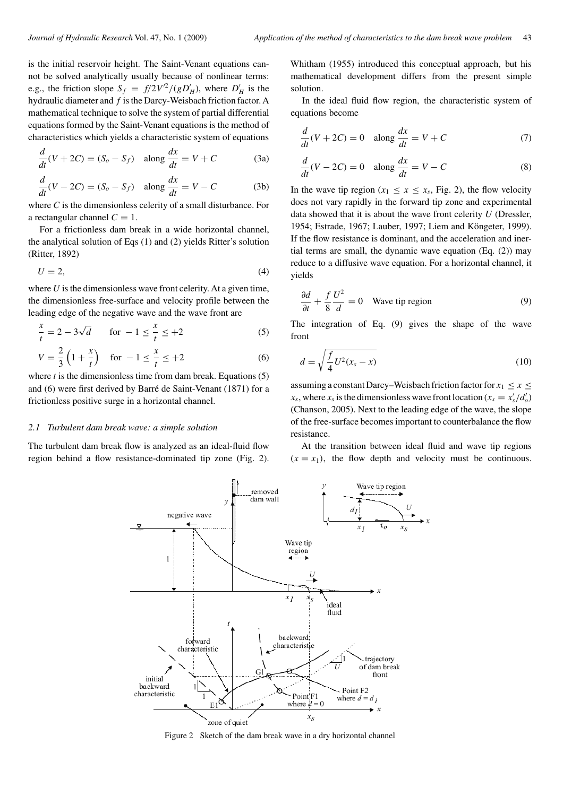is the initial reservoir height. The Saint-Venant equations cannot be solved analytically usually because of nonlinear terms: e.g., the friction slope  $S_f = f/2V^2/(gD'_H)$ , where  $D'_H$  is the hydraulic diameter and *f* is the Darcy-Weisbach friction factor. A mathematical technique to solve the system of partial differential equations formed by the Saint-Venant equations is the method of characteristics which yields a characteristic system of equations

$$
\frac{d}{dt}(V + 2C) = (S_o - S_f) \quad \text{along } \frac{dx}{dt} = V + C \tag{3a}
$$

$$
\frac{d}{dt}(V - 2C) = (S_o - S_f) \quad \text{along } \frac{dx}{dt} = V - C \tag{3b}
$$

where *C* is the dimensionless celerity of a small disturbance. For a rectangular channel  $C = 1$ .

For a frictionless dam break in a wide horizontal channel, the analytical solution of Eqs (1) and (2) yields Ritter's solution (Ritter, 1892)

$$
U = 2,\t\t(4)
$$

where *U* is the dimensionless wave front celerity. At a given time, the dimensionless free-surface and velocity profile between the leading edge of the negative wave and the wave front are

$$
\frac{x}{t} = 2 - 3\sqrt{d} \qquad \text{for } -1 \le \frac{x}{t} \le +2
$$
 (5)

$$
V = \frac{2}{3} \left( 1 + \frac{x}{t} \right) \quad \text{for } -1 \le \frac{x}{t} \le +2 \tag{6}
$$

where *t* is the dimensionless time from dam break. Equations (5) and (6) were first derived by Barré de Saint-Venant (1871) for a frictionless positive surge in a horizontal channel.

#### *2.1 Turbulent dam break wave: a simple solution*

The turbulent dam break flow is analyzed as an ideal-fluid flow region behind a flow resistance-dominated tip zone (Fig. 2). Whitham (1955) introduced this conceptual approach, but his mathematical development differs from the present simple solution.

In the ideal fluid flow region, the characteristic system of equations become

$$
\frac{d}{dt}(V + 2C) = 0 \quad \text{along } \frac{dx}{dt} = V + C \tag{7}
$$

$$
\frac{d}{dt}(V - 2C) = 0 \quad \text{along } \frac{dx}{dt} = V - C \tag{8}
$$

In the wave tip region  $(x_1 \le x \le x_s)$ , Fig. 2), the flow velocity does not vary rapidly in the forward tip zone and experimental data showed that it is about the wave front celerity *U* (Dressler, 1954; Estrade, 1967; Lauber, 1997; Liem and Köngeter, 1999). If the flow resistance is dominant, and the acceleration and inertial terms are small, the dynamic wave equation (Eq. (2)) may reduce to a diffusive wave equation. For a horizontal channel, it yields

$$
\frac{\partial d}{\partial t} + \frac{f}{8} \frac{U^2}{d} = 0
$$
 Wave tip region (9)

The integration of Eq. (9) gives the shape of the wave front

$$
d = \sqrt{\frac{f}{4}U^2(x_s - x)}\tag{10}
$$

assuming a constant Darcy–Weisbach friction factor for  $x_1 \le x \le$  $x_s$ , where  $x_s$  is the dimensionless wave front location ( $x_s = x'_s/d'_o$ ) (Chanson, 2005). Next to the leading edge of the wave, the slope of the free-surface becomes important to counterbalance the flow resistance.

At the transition between ideal fluid and wave tip regions  $(x = x_1)$ , the flow depth and velocity must be continuous.



Figure 2 Sketch of the dam break wave in a dry horizontal channel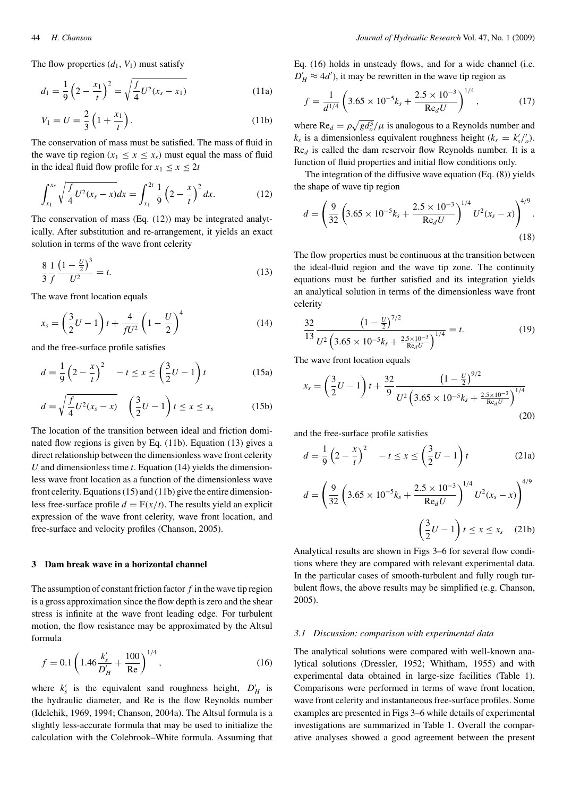The flow properties  $(d_1, V_1)$  must satisfy

$$
d_1 = \frac{1}{9} \left( 2 - \frac{x_1}{t} \right)^2 = \sqrt{\frac{f}{4} U^2 (x_s - x_1)}
$$
(11a)

$$
V_1 = U = \frac{2}{3} \left( 1 + \frac{x_1}{t} \right).
$$
 (11b)

The conservation of mass must be satisfied. The mass of fluid in the wave tip region  $(x_1 \le x \le x_s)$  must equal the mass of fluid in the ideal fluid flow profile for  $x_1 \le x \le 2t$ 

$$
\int_{x_1}^{x_s} \sqrt{\frac{f}{4}U^2(x_s - x)} dx = \int_{x_1}^{2t} \frac{1}{9} \left(2 - \frac{x}{t}\right)^2 dx.
$$
 (12)

The conservation of mass (Eq. (12)) may be integrated analytically. After substitution and re-arrangement, it yields an exact solution in terms of the wave front celerity

$$
\frac{8}{3} \frac{1}{f} \frac{\left(1 - \frac{U}{2}\right)^3}{U^2} = t.
$$
\n(13)

The wave front location equals

$$
x_s = \left(\frac{3}{2}U - 1\right)t + \frac{4}{fU^2}\left(1 - \frac{U}{2}\right)^4\tag{14}
$$

and the free-surface profile satisfies

$$
d = \frac{1}{9} \left( 2 - \frac{x}{t} \right)^2 \quad -t \le x \le \left( \frac{3}{2} U - 1 \right) t \tag{15a}
$$

$$
d = \sqrt{\frac{f}{4}U^2(x_s - x)} \quad \left(\frac{3}{2}U - 1\right)t \le x \le x_s \tag{15b}
$$

The location of the transition between ideal and friction dominated flow regions is given by Eq. (11b). Equation (13) gives a direct relationship between the dimensionless wave front celerity *U* and dimensionless time *t*. Equation (14) yields the dimensionless wave front location as a function of the dimensionless wave front celerity. Equations (15) and (11b) give the entire dimensionless free-surface profile  $d = F(x/t)$ . The results yield an explicit expression of the wave front celerity, wave front location, and free-surface and velocity profiles (Chanson, 2005).

#### **3 Dam break wave in a horizontal channel**

The assumption of constant friction factor *f* in the wave tip region is a gross approximation since the flow depth is zero and the shear stress is infinite at the wave front leading edge. For turbulent motion, the flow resistance may be approximated by the Altsul formula

$$
f = 0.1 \left( 1.46 \frac{k_s'}{D'_H} + \frac{100}{\text{Re}} \right)^{1/4},\tag{16}
$$

where  $k'_s$  is the equivalent sand roughness height,  $D'_H$  is the hydraulic diameter, and Re is the flow Reynolds number (Idelchik, 1969, 1994; Chanson, 2004a). The Altsul formula is a slightly less-accurate formula that may be used to initialize the calculation with the Colebrook–White formula. Assuming that Eq. (16) holds in unsteady flows, and for a wide channel (i.e.  $D'_H \approx 4d'$ , it may be rewritten in the wave tip region as

$$
f = \frac{1}{d^{1/4}} \left( 3.65 \times 10^{-5} k_s + \frac{2.5 \times 10^{-3}}{\text{Re}_d U} \right)^{1/4},\tag{17}
$$

where  $\text{Re}_d = \rho \sqrt{gd_o^3}/\mu$  is analogous to a Reynolds number and  $k_s$  is a dimensionless equivalent roughness height  $(k_s = k'_s / \_o^{\prime})$ . Re*<sup>d</sup>* is called the dam reservoir flow Reynolds number. It is a function of fluid properties and initial flow conditions only.

The integration of the diffusive wave equation (Eq. (8)) yields the shape of wave tip region

$$
d = \left(\frac{9}{32} \left(3.65 \times 10^{-5} k_s + \frac{2.5 \times 10^{-3}}{\text{Re}_d U}\right)^{1/4} U^2(x_s - x)\right)^{4/9}.
$$
\n(18)

The flow properties must be continuous at the transition between the ideal-fluid region and the wave tip zone. The continuity equations must be further satisfied and its integration yields an analytical solution in terms of the dimensionless wave front celerity

$$
\frac{32}{13} \frac{\left(1 - \frac{U}{2}\right)^{7/2}}{U^2 \left(3.65 \times 10^{-5} k_s + \frac{2.5 \times 10^{-3}}{\text{Re}_d U}\right)^{1/4}} = t.
$$
 (19)

The wave front location equals

$$
x_s = \left(\frac{3}{2}U - 1\right)t + \frac{32}{9}\frac{\left(1 - \frac{U}{2}\right)^{9/2}}{U^2\left(3.65 \times 10^{-5}k_s + \frac{2.5 \times 10^{-3}}{\text{Re}_d U}\right)^{1/4}}\tag{20}
$$

and the free-surface profile satisfies

$$
d = \frac{1}{9} \left( 2 - \frac{x}{t} \right)^2 \quad -t \le x \le \left( \frac{3}{2} U - 1 \right) t \tag{21a}
$$

$$
d = \left(\frac{9}{32}\left(3.65 \times 10^{-5}k_s + \frac{2.5 \times 10^{-3}}{\text{Re}_d U}\right)^{1/4} U^2(x_s - x)\right)^{4/9}
$$

$$
\left(\frac{3}{2}U - 1\right)t \le x \le x_s \quad (21b)
$$

Analytical results are shown in Figs 3–6 for several flow conditions where they are compared with relevant experimental data. In the particular cases of smooth-turbulent and fully rough turbulent flows, the above results may be simplified (e.g. Chanson, 2005).

#### *3.1 Discussion: comparison with experimental data*

The analytical solutions were compared with well-known analytical solutions (Dressler, 1952; Whitham, 1955) and with experimental data obtained in large-size facilities (Table 1). Comparisons were performed in terms of wave front location, wave front celerity and instantaneous free-surface profiles. Some examples are presented in Figs 3–6 while details of experimental investigations are summarized in Table 1. Overall the comparative analyses showed a good agreement between the present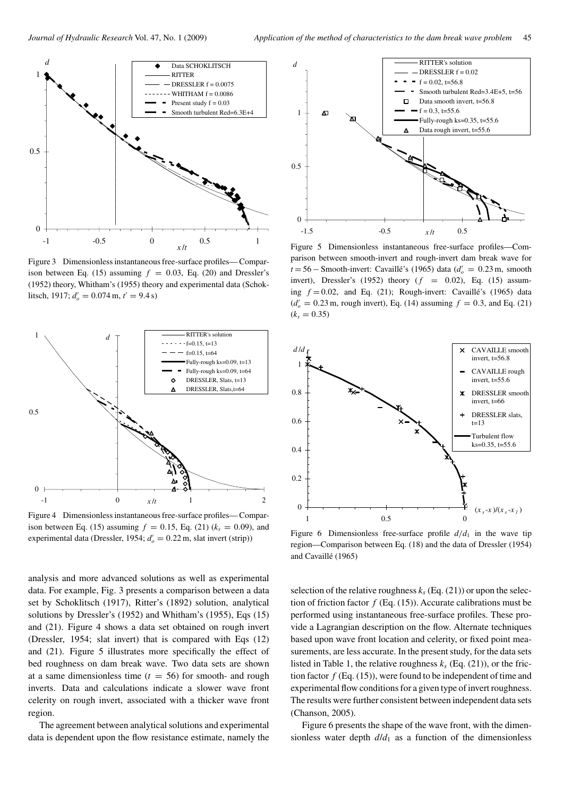

Figure 3 Dimensionless instantaneous free-surface profiles— Comparison between Eq. (15) assuming  $f = 0.03$ , Eq. (20) and Dressler's (1952) theory, Whitham's (1955) theory and experimental data (Schoklitsch, 1917;  $d'_{o} = 0.074 \text{ m}, t' = 9.4 \text{ s}$ )



Figure 4 Dimensionless instantaneous free-surface profiles— Comparison between Eq. (15) assuming  $f = 0.15$ , Eq. (21) ( $k_s = 0.09$ ), and  $\alpha$  experimental data (Dressler, 1954;  $d'_{o} = 0.22$  m, slat invert (strip))

analysis and more advanced solutions as well as experimental data. For example, Fig. 3 presents a comparison between a data set by Schoklitsch (1917), Ritter's (1892) solution, analytical solutions by Dressler's (1952) and Whitham's (1955), Eqs (15) and (21). Figure 4 shows a data set obtained on rough invert (Dressler, 1954; slat invert) that is compared with Eqs (12) and (21). Figure 5 illustrates more specifically the effect of bed roughness on dam break wave. Two data sets are shown at a same dimensionless time  $(t = 56)$  for smooth- and rough inverts. Data and calculations indicate a slower wave front celerity on rough invert, associated with a thicker wave front region.

The agreement between analytical solutions and experimental data is dependent upon the flow resistance estimate, namely the



Figure 5 Dimensionless instantaneous free-surface profiles—Comparison between smooth-invert and rough-invert dam break wave for *t* = 56 − Smooth-invert: Cavaillé's (1965) data ( $d'_{o} = 0.23$  m, smooth invert), Dressler's (1952) theory (*f* = 0*.*02), Eq. (15) assuming *f* = 0*.*02, and Eq. (21); Rough-invert: Cavaillé's (1965) data  $(d'_o = 0.23 \text{ m}, \text{rough invert})$ , Eq. (14) assuming  $f = 0.3$ , and Eq. (21)  $(k_s = 0.35)$ 



Figure 6 Dimensionless free-surface profile  $d/d_1$  in the wave tip region—Comparison between Eq. (18) and the data of Dressler (1954) and Cavaillé (1965)

selection of the relative roughness  $k_s$  (Eq. (21)) or upon the selection of friction factor  $f$  (Eq. (15)). Accurate calibrations must be performed using instantaneous free-surface profiles. These provide a Lagrangian description on the flow. Alternate techniques based upon wave front location and celerity, or fixed point measurements, are less accurate. In the present study, for the data sets listed in Table 1, the relative roughness  $k_s$  (Eq. (21)), or the friction factor  $f$  (Eq. (15)), were found to be independent of time and experimental flow conditions for a given type of invert roughness. The results were further consistent between independent data sets (Chanson, 2005).

Figure 6 presents the shape of the wave front, with the dimensionless water depth  $d/d_1$  as a function of the dimensionless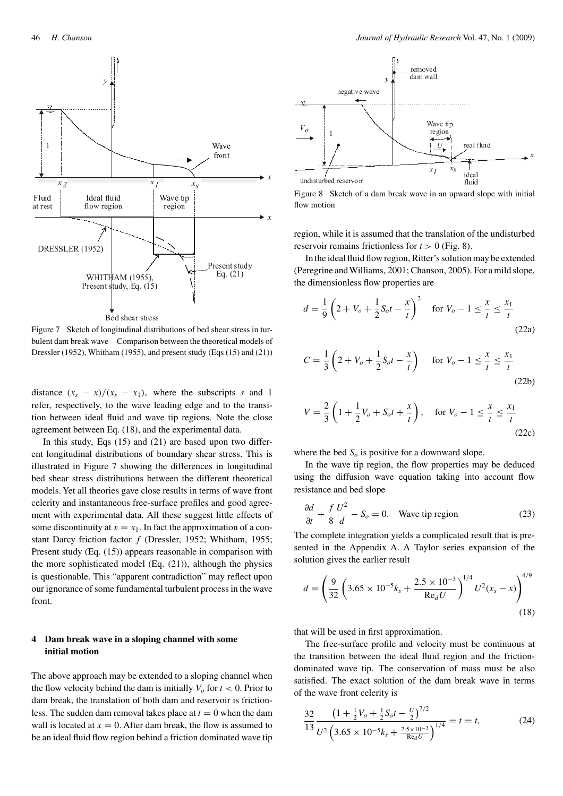

Figure 7 Sketch of longitudinal distributions of bed shear stress in turbulent dam break wave—Comparison between the theoretical models of Dressler (1952), Whitham (1955), and present study (Eqs (15) and (21))

distance  $(x_s - x)/(x_s - x_1)$ , where the subscripts *s* and 1 refer, respectively, to the wave leading edge and to the transition between ideal fluid and wave tip regions. Note the close agreement between Eq. (18), and the experimental data.

In this study, Eqs (15) and (21) are based upon two different longitudinal distributions of boundary shear stress. This is illustrated in Figure 7 showing the differences in longitudinal bed shear stress distributions between the different theoretical models. Yet all theories gave close results in terms of wave front celerity and instantaneous free-surface profiles and good agreement with experimental data. All these suggest little effects of some discontinuity at  $x = x_1$ . In fact the approximation of a constant Darcy friction factor *f* (Dressler, 1952; Whitham, 1955; Present study (Eq.  $(15)$ ) appears reasonable in comparison with the more sophisticated model (Eq. (21)), although the physics is questionable. This "apparent contradiction" may reflect upon our ignorance of some fundamental turbulent process in the wave front.

## **4 Dam break wave in a sloping channel with some initial motion**

The above approach may be extended to a sloping channel when the flow velocity behind the dam is initially  $V_o$  for  $t < 0$ . Prior to dam break, the translation of both dam and reservoir is frictionless. The sudden dam removal takes place at  $t = 0$  when the dam wall is located at  $x = 0$ . After dam break, the flow is assumed to be an ideal fluid flow region behind a friction dominated wave tip



Figure 8 Sketch of a dam break wave in an upward slope with initial flow motion

region, while it is assumed that the translation of the undisturbed reservoir remains frictionless for  $t > 0$  (Fig. 8).

In the ideal fluid flow region, Ritter's solution may be extended (Peregrine andWilliams, 2001; Chanson, 2005). For a mild slope, the dimensionless flow properties are

$$
d = \frac{1}{9} \left( 2 + V_o + \frac{1}{2} S_o t - \frac{x}{t} \right)^2 \quad \text{for } V_o - 1 \le \frac{x}{t} \le \frac{x_1}{t}
$$
\n(22a)

$$
C = \frac{1}{3} \left( 2 + V_o + \frac{1}{2} S_o t - \frac{x}{t} \right) \quad \text{for } V_o - 1 \le \frac{x}{t} \le \frac{x_1}{t}
$$
\n(22b)

$$
V = \frac{2}{3} \left( 1 + \frac{1}{2} V_o + S_o t + \frac{x}{t} \right), \quad \text{for } V_o - 1 \le \frac{x}{t} \le \frac{x_1}{t}
$$
\n(22c)

where the bed  $S<sub>o</sub>$  is positive for a downward slope.

In the wave tip region, the flow properties may be deduced using the diffusion wave equation taking into account flow resistance and bed slope

$$
\frac{\partial d}{\partial t} + \frac{f}{8} \frac{U^2}{d} - S_o = 0.
$$
 Wave tip region (23)

The complete integration yields a complicated result that is presented in the Appendix A. A Taylor series expansion of the solution gives the earlier result

$$
d = \left(\frac{9}{32} \left(3.65 \times 10^{-5} k_s + \frac{2.5 \times 10^{-3}}{\text{Re}_d U}\right)^{1/4} U^2(x_s - x)\right)^{4/9}
$$
\n(18)

that will be used in first approximation.

The free-surface profile and velocity must be continuous at the transition between the ideal fluid region and the frictiondominated wave tip. The conservation of mass must be also satisfied. The exact solution of the dam break wave in terms of the wave front celerity is

$$
\frac{32}{13} \frac{\left(1 + \frac{1}{2}V_o + \frac{1}{2}S_o t - \frac{U}{2}\right)^{7/2}}{U^2 \left(3.65 \times 10^{-5} k_s + \frac{2.5 \times 10^{-3}}{\text{Re}_d U}\right)^{1/4}} = t = t,
$$
 (24)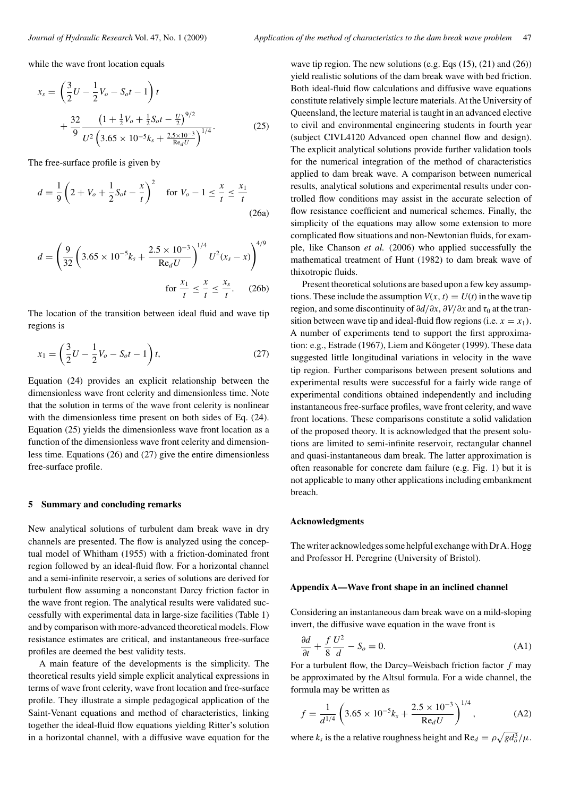while the wave front location equals

$$
x_s = \left(\frac{3}{2}U - \frac{1}{2}V_o - S_o t - 1\right)t
$$
  
+ 
$$
\frac{32}{9} \frac{\left(1 + \frac{1}{2}V_o + \frac{1}{2}S_o t - \frac{U}{2}\right)^{9/2}}{U^2 \left(3.65 \times 10^{-5} k_s + \frac{2.5 \times 10^{-3}}{\text{Re}_d U}\right)^{1/4}}.
$$
 (25)

The free-surface profile is given by

$$
d = \frac{1}{9} \left( 2 + V_o + \frac{1}{2} S_o t - \frac{x}{t} \right)^2 \quad \text{for } V_o - 1 \le \frac{x}{t} \le \frac{x_1}{t}
$$
\n(26a)

$$
d = \left(\frac{9}{32}\left(3.65 \times 10^{-5}k_s + \frac{2.5 \times 10^{-3}}{\text{Re}_d U}\right)^{1/4} U^2(x_s - x)\right)^{4/9}
$$
  
for  $\frac{x_1}{t} \le \frac{x}{t} \le \frac{x_s}{t}$ . (26b)

The location of the transition between ideal fluid and wave tip regions is

$$
x_1 = \left(\frac{3}{2}U - \frac{1}{2}V_o - S_o t - 1\right)t,
$$
\n(27)

Equation (24) provides an explicit relationship between the dimensionless wave front celerity and dimensionless time. Note that the solution in terms of the wave front celerity is nonlinear with the dimensionless time present on both sides of Eq. (24). Equation (25) yields the dimensionless wave front location as a function of the dimensionless wave front celerity and dimensionless time. Equations (26) and (27) give the entire dimensionless free-surface profile.

## **5 Summary and concluding remarks**

New analytical solutions of turbulent dam break wave in dry channels are presented. The flow is analyzed using the conceptual model of Whitham (1955) with a friction-dominated front region followed by an ideal-fluid flow. For a horizontal channel and a semi-infinite reservoir, a series of solutions are derived for turbulent flow assuming a nonconstant Darcy friction factor in the wave front region. The analytical results were validated successfully with experimental data in large-size facilities (Table 1) and by comparison with more-advanced theoretical models. Flow resistance estimates are critical, and instantaneous free-surface profiles are deemed the best validity tests.

A main feature of the developments is the simplicity. The theoretical results yield simple explicit analytical expressions in terms of wave front celerity, wave front location and free-surface profile. They illustrate a simple pedagogical application of the Saint-Venant equations and method of characteristics, linking together the ideal-fluid flow equations yielding Ritter's solution in a horizontal channel, with a diffusive wave equation for the

wave tip region. The new solutions (e.g. Eqs  $(15)$ ,  $(21)$  and  $(26)$ ) yield realistic solutions of the dam break wave with bed friction. Both ideal-fluid flow calculations and diffusive wave equations constitute relatively simple lecture materials. At the University of Queensland, the lecture material is taught in an advanced elective to civil and environmental engineering students in fourth year (subject CIVL4120 Advanced open channel flow and design). The explicit analytical solutions provide further validation tools for the numerical integration of the method of characteristics applied to dam break wave. A comparison between numerical results, analytical solutions and experimental results under controlled flow conditions may assist in the accurate selection of flow resistance coefficient and numerical schemes. Finally, the simplicity of the equations may allow some extension to more complicated flow situations and non-Newtonian fluids, for example, like Chanson *et al.* (2006) who applied successfully the mathematical treatment of Hunt (1982) to dam break wave of thixotropic fluids.

Present theoretical solutions are based upon a few key assumptions. These include the assumption  $V(x, t) = U(t)$  in the wave tip region, and some discontinuity of  $\partial d/\partial x$ ,  $\partial V/\partial x$  and  $τ_0$  at the transition between wave tip and ideal-fluid flow regions (i.e.  $x = x_1$ ). A number of experiments tend to support the first approximation: e.g., Estrade (1967), Liem and Köngeter (1999). These data suggested little longitudinal variations in velocity in the wave tip region. Further comparisons between present solutions and experimental results were successful for a fairly wide range of experimental conditions obtained independently and including instantaneous free-surface profiles, wave front celerity, and wave front locations. These comparisons constitute a solid validation of the proposed theory. It is acknowledged that the present solutions are limited to semi-infinite reservoir, rectangular channel and quasi-instantaneous dam break. The latter approximation is often reasonable for concrete dam failure (e.g. Fig. 1) but it is not applicable to many other applications including embankment breach.

#### **Acknowledgments**

The writer acknowledges some helpful exchange with DrA. Hogg and Professor H. Peregrine (University of Bristol).

## **Appendix A—Wave front shape in an inclined channel**

Considering an instantaneous dam break wave on a mild-sloping invert, the diffusive wave equation in the wave front is

$$
\frac{\partial d}{\partial t} + \frac{f}{8} \frac{U^2}{d} - S_o = 0.
$$
 (A1)

For a turbulent flow, the Darcy–Weisbach friction factor *f* may be approximated by the Altsul formula. For a wide channel, the formula may be written as

$$
f = \frac{1}{d^{1/4}} \left( 3.65 \times 10^{-5} k_s + \frac{2.5 \times 10^{-3}}{\text{Re}_d U} \right)^{1/4},\tag{A2}
$$

where  $k_s$  is the a relative roughness height and  $\text{Re}_d = \rho \sqrt{gd_o^3}/\mu$ .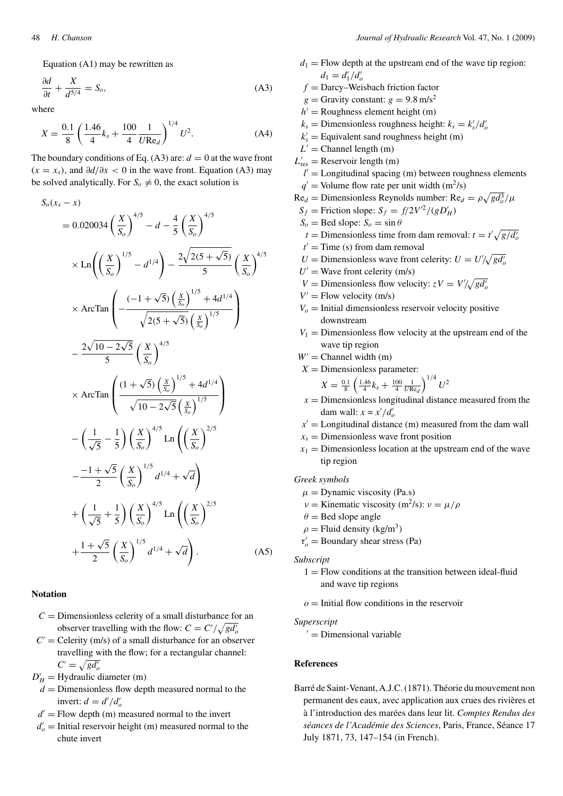Equation (A1) may be rewritten as

$$
\frac{\partial d}{\partial t} + \frac{X}{d^{5/4}} = S_o,
$$
\n(A3)

where

$$
X = \frac{0.1}{8} \left( \frac{1.46}{4} k_s + \frac{100}{4} \frac{1}{U \text{Re}_d} \right)^{1/4} U^2.
$$
 (A4)

The boundary conditions of Eq. (A3) are:  $d = 0$  at the wave front  $(x = x_s)$ , and  $\frac{\partial d}{\partial x} < 0$  in the wave front. Equation (A3) may be solved analytically. For  $S_0 \neq 0$ , the exact solution is

$$
S_o(x_s - x)
$$
  
= 0.020034  $\left(\frac{X}{S_o}\right)^{4/5} - d - \frac{4}{5} \left(\frac{X}{S_o}\right)^{4/5}$   

$$
\times Ln\left(\left(\frac{X}{S_o}\right)^{1/5} - d^{1/4}\right) - \frac{2\sqrt{2(5 + \sqrt{5})}}{5} \left(\frac{X}{S_o}\right)^{4/5}
$$
  

$$
\times ArcTan\left(-\frac{(-1 + \sqrt{5})\left(\frac{x}{S_o}\right)^{1/5} + 4d^{1/4}}{\sqrt{2(5 + \sqrt{5})}\left(\frac{x}{S_o}\right)^{1/5}}\right)
$$
  

$$
- \frac{2\sqrt{10 - 2\sqrt{5}}}{5} \left(\frac{X}{S_o}\right)^{4/5}
$$
  

$$
\times ArcTan\left(\frac{(1 + \sqrt{5})\left(\frac{x}{S_o}\right)^{1/5} + 4d^{1/4}}{\sqrt{10 - 2\sqrt{5}}\left(\frac{x}{S_o}\right)^{1/5}}\right)
$$
  

$$
- \left(\frac{1}{\sqrt{5}} - \frac{1}{5}\right) \left(\frac{X}{S_o}\right)^{4/5} Ln\left(\left(\frac{X}{S_o}\right)^{2/5})
$$
  

$$
- \frac{-1 + \sqrt{5}}{2} \left(\frac{X}{S_o}\right)^{1/5} d^{1/4} + \sqrt{d}\right)
$$
  
+ 
$$
\left(\frac{1}{\sqrt{5}} + \frac{1}{5}\right) \left(\frac{X}{S_o}\right)^{4/5} Ln\left(\left(\frac{X}{S_o}\right)^{2/5}
$$
  
+ 
$$
\frac{1 + \sqrt{5}}{2} \left(\frac{X}{S_o}\right)^{1/5} d^{1/4} + \sqrt{d}\right).
$$
 (A5)

## **Notation**

- $C =$  Dimensionless celerity of a small disturbance for an observer travelling with the flow:  $C = C'/\sqrt{gd'_o}$
- $C'$  = Celerity (m/s) of a small disturbance for an observer travelling with the flow; for a rectangular channel:  $C' = \sqrt{gd'_o}$
- $D'_H$  = Hydraulic diameter (m)
- $d =$  Dimensionless flow depth measured normal to the invert:  $d = d'/d'_{o}$
- $d'$  = Flow depth (m) measured normal to the invert
- $d'_{o}$  = Initial reservoir height (m) measured normal to the chute invert
- $d_1$  = Flow depth at the upstream end of the wave tip region:  $d_1 = d'_1/d'_o$
- $f =$ Darcy–Weisbach friction factor
- $g =$ Gravity constant:  $g = 9.8$  m/s<sup>2</sup>
- $h'$  = Roughness element height (m)
- $k_s$  = Dimensionless roughness height:  $k_s = k'_s/d'_s$
- $k'_{s}$  = Equivalent sand roughness height (m)
- $L'$  = Channel length (m)
- $L'_{\text{res}}$  = Reservoir length (m)
- $l'$  = Longitudinal spacing (m) between roughness elements  $q'$  = Volume flow rate per unit width (m<sup>2</sup>/s)
- $\text{Re}_d = \text{Dimensionless Reynolds number: } \text{Re}_d = \rho \sqrt{gd_o^3}/\mu$
- $S_f$  = Friction slope:  $S_f = f/2V^2/(gD'_H)$
- $S_o =$  Bed slope:  $S_o = \sin \theta$ 
	- $t =$  Dimensionless time from dam removal:  $t = t' \sqrt{g/d_{o}'}$
- $t'$  = Time (s) from dam removal
- $U =$  Dimensionless wave front celerity:  $U = U'/\sqrt{gd'_o}$
- $U'$  = Wave front celerity (m/s)
- *V* = Dimensionless flow velocity:  $zV = V'/\sqrt{gd'_o}$
- $V'$  = Flow velocity (m/s)
- $V<sub>o</sub>$  = Initial dimensionless reservoir velocity positive downstream
- $V_1$  = Dimensionless flow velocity at the upstream end of the wave tip region
- $W'$  = Channel width (m)
- $X =$ Dimensionless parameter:

$$
X = \frac{0.1}{8} \left( \frac{1.46}{4} k_s + \frac{100}{4} \frac{1}{U \text{Re}_d} \right)^{1/4} U^2
$$

- $x =$  Dimensionless longitudinal distance measured from the dam wall:  $x = x'/d'_o$
- $x'$  = Longitudinal distance (m) measured from the dam wall
- $x_s$  = Dimensionless wave front position
- $x_1$  = Dimensionless location at the upstream end of the wave tip region

*Greek symbols*

- $\mu$  = Dynamic viscosity (Pa.s)
- *ν* = Kinematic viscosity (m<sup>2</sup>/s):  $\nu = \frac{\mu}{\rho}$
- $\theta$  = Bed slope angle
- $\rho$  = Fluid density (kg/m<sup>3</sup>)
- $\tau_o'$  = Boundary shear stress (Pa)

*Subscript*

 $1 =$  Flow conditions at the transition between ideal-fluid and wave tip regions

 $o =$  Initial flow conditions in the reservoir

#### *Superscript*

 $'$  = Dimensional variable

## **References**

Barré de Saint-Venant, A.J.C. (1871). Théorie du mouvement non permanent des eaux, avec application aux crues des rivières et à l'introduction des marées dans leur lit. *Comptes Rendus des séances de l'Académie des Sciences*, Paris, France, Séance 17 July 1871, 73, 147–154 (in French).